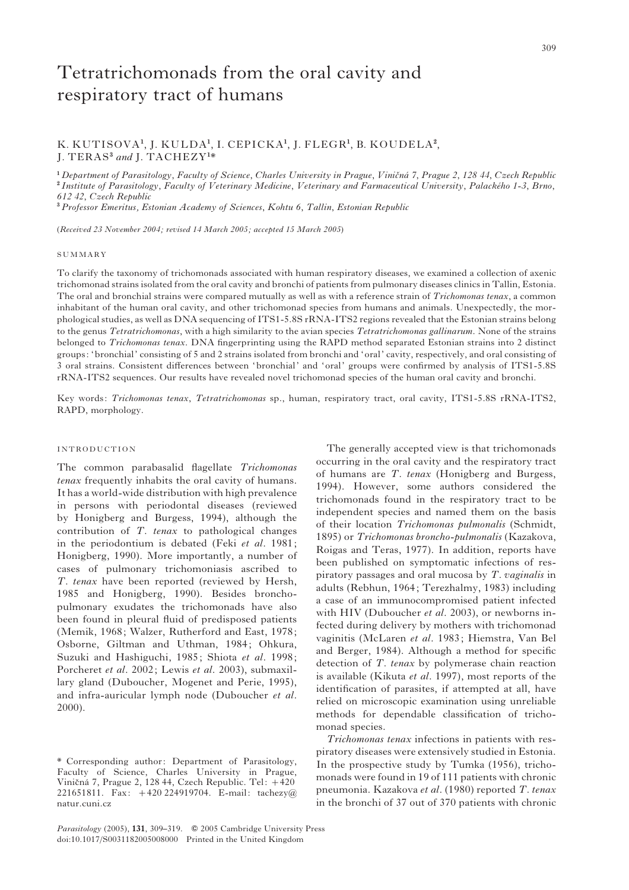# Tetratrichomonads from the oral cavity and respiratory tract of humans

# K. KUTISOVA<sup>1</sup>, J. KULDA<sup>1</sup>, I. CEPICKA<sup>1</sup>, J. FLEGR<sup>1</sup>, B. KOUDELA<sup>2</sup>, J. TERAS<sup>3</sup> and J. TACHEZY<sup>1\*</sup>

 $1$  Department of Parasitology, Faculty of Science, Charles University in Prague, Viničná 7, Prague 2, 128 44, Czech Republic  $2$  Institute of Parasitology, Faculty of Veterinary Medicine, Veterinary and Farmaceutical University, Palackého 1-3, Brno, 612 42, Czech Republic

<sup>3</sup> Professor Emeritus, Estonian Academy of Sciences, Kohtu 6, Tallin, Estonian Republic

(Received 23 November 2004; revised 14 March 2005; accepted 15 March 2005)

#### SUMMARY

To clarify the taxonomy of trichomonads associated with human respiratory diseases, we examined a collection of axenic trichomonad strains isolated from the oral cavity and bronchi of patients from pulmonary diseases clinics in Tallin, Estonia. The oral and bronchial strains were compared mutually as well as with a reference strain of *Trichomonas tenax*, a common inhabitant of the human oral cavity, and other trichomonad species from humans and animals. Unexpectedly, the morphological studies, as well as DNA sequencing of ITS1-5.8S rRNA-ITS2 regions revealed that the Estonian strains belong to the genus Tetratrichomonas, with a high similarity to the avian species Tetratrichomonas gallinarum. None of the strains belonged to Trichomonas tenax. DNA fingerprinting using the RAPD method separated Estonian strains into 2 distinct groups: 'bronchial' consisting of 5 and 2 strains isolated from bronchi and 'oral' cavity, respectively, and oral consisting of 3 oral strains. Consistent differences between 'bronchial' and 'oral' groups were confirmed by analysis of ITS1-5.8S rRNA-ITS2 sequences. Our results have revealed novel trichomonad species of the human oral cavity and bronchi.

Key words: Trichomonas tenax, Tetratrichomonas sp., human, respiratory tract, oral cavity, ITS1-5.8S rRNA-ITS2, RAPD, morphology.

## INTRODUCTION

The common parabasalid flagellate Trichomonas tenax frequently inhabits the oral cavity of humans. It has a world-wide distribution with high prevalence in persons with periodontal diseases (reviewed by Honigberg and Burgess, 1994), although the contribution of T. tenax to pathological changes in the periodontium is debated (Feki et al. 1981; Honigberg, 1990). More importantly, a number of cases of pulmonary trichomoniasis ascribed to T. tenax have been reported (reviewed by Hersh, 1985 and Honigberg, 1990). Besides bronchopulmonary exudates the trichomonads have also been found in pleural fluid of predisposed patients (Memik, 1968; Walzer, Rutherford and East, 1978; Osborne, Giltman and Uthman, 1984; Ohkura, Suzuki and Hashiguchi, 1985; Shiota et al. 1998; Porcheret et al. 2002; Lewis et al. 2003), submaxillary gland (Duboucher, Mogenet and Perie, 1995), and infra-auricular lymph node (Duboucher et al. 2000).

The generally accepted view is that trichomonads occurring in the oral cavity and the respiratory tract of humans are T. tenax (Honigberg and Burgess, 1994). However, some authors considered the trichomonads found in the respiratory tract to be independent species and named them on the basis of their location Trichomonas pulmonalis (Schmidt, 1895) or Trichomonas broncho-pulmonalis (Kazakova, Roigas and Teras, 1977). In addition, reports have been published on symptomatic infections of respiratory passages and oral mucosa by  $T$ . *vaginalis* in adults (Rebhun, 1964; Terezhalmy, 1983) including a case of an immunocompromised patient infected with HIV (Duboucher *et al.* 2003), or newborns infected during delivery by mothers with trichomonad vaginitis (McLaren et al. 1983; Hiemstra, Van Bel and Berger, 1984). Although a method for specific detection of T. tenax by polymerase chain reaction is available (Kikuta et al. 1997), most reports of the identification of parasites, if attempted at all, have relied on microscopic examination using unreliable methods for dependable classification of trichomonad species.

Trichomonas tenax infections in patients with respiratory diseases were extensively studied in Estonia. In the prospective study by Tumka (1956), trichomonads were found in 19 of 111 patients with chronic pneumonia. Kazakova et al. (1980) reported T. tenax in the bronchi of 37 out of 370 patients with chronic

<sup>\*</sup> Corresponding author: Department of Parasitology, Faculty of Science, Charles University in Prague, Viničná 7, Prague 2, 128 44, Czech Republic. Tel: +420 221651811. Fax: +420 224919704. E-mail: tachezy@ natur.cuni.cz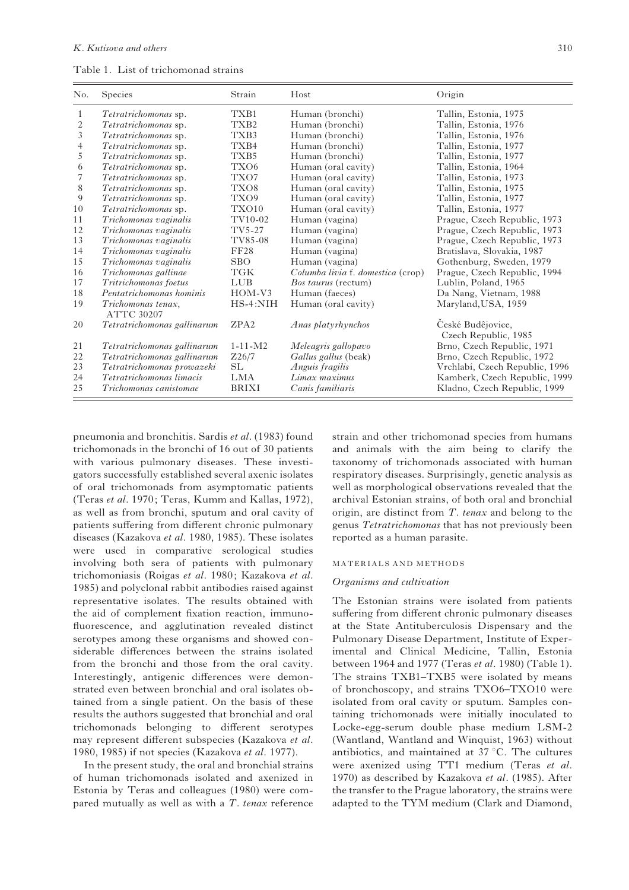Table 1. List of trichomonad strains

| No. | Species                                 | Strain           | Host                              | Origin                                    |
|-----|-----------------------------------------|------------------|-----------------------------------|-------------------------------------------|
| 1   | Tetratrichomonas sp.                    | TXB1             | Human (bronchi)                   | Tallin, Estonia, 1975                     |
| 2   | Tetratrichomonas sp.                    | TX <sub>B2</sub> | Human (bronchi)                   | Tallin, Estonia, 1976                     |
| 3   | Tetratrichomonas sp.                    | TXB3             | Human (bronchi)                   | Tallin, Estonia, 1976                     |
| 4   | Tetratrichomonas sp.                    | TXB4             | Human (bronchi)                   | Tallin, Estonia, 1977                     |
| 5   | Tetratrichomonas sp.                    | TXB5             | Human (bronchi)                   | Tallin, Estonia, 1977                     |
| 6   | Tetratrichomonas sp.                    | TXO <sub>6</sub> | Human (oral cavity)               | Tallin, Estonia, 1964                     |
| 7   | Tetratrichomonas sp.                    | TXO7             | Human (oral cavity)               | Tallin, Estonia, 1973                     |
| 8   | Tetratrichomonas sp.                    | TXO8             | Human (oral cavity)               | Tallin, Estonia, 1975                     |
| 9   | Tetratrichomonas sp.                    | TXO <sub>9</sub> | Human (oral cavity)               | Tallin, Estonia, 1977                     |
| 10  | Tetratrichomonas sp.                    | TXO10            | Human (oral cavity)               | Tallin, Estonia, 1977                     |
| 11  | Trichomonas vaginalis                   | TV10-02          | Human (vagina)                    | Prague, Czech Republic, 1973              |
| 12  | Trichomonas vaginalis                   | TV5-27           | Human (vagina)                    | Prague, Czech Republic, 1973              |
| 13  | Trichomonas vaginalis                   | TV85-08          | Human (vagina)                    | Prague, Czech Republic, 1973              |
| 14  | Trichomonas vaginalis                   | <b>FF28</b>      | Human (vagina)                    | Bratislava, Slovakia, 1987                |
| 15  | Trichomonas vaginalis                   | <b>SBO</b>       | Human (vagina)                    | Gothenburg, Sweden, 1979                  |
| 16  | Trichomonas gallinae                    | <b>TGK</b>       | Columba livia f. domestica (crop) | Prague, Czech Republic, 1994              |
| 17  | Tritrichomonas foetus                   | <b>LUB</b>       | <i>Bos taurus</i> (rectum)        | Lublin, Poland, 1965                      |
| 18  | Pentatrichomonas hominis                | $HOM-V3$         | Human (faeces)                    | Da Nang, Vietnam, 1988                    |
| 19  | Trichomonas tenax,<br><b>ATTC 30207</b> | $HS-4:NIH$       | Human (oral cavity)               | Maryland, USA, 1959                       |
| 20  | Tetratrichomonas gallinarum             | ZPA <sub>2</sub> | Anas platyrhynchos                | České Budêjovice,<br>Czech Republic, 1985 |
| 21  | Tetratrichomonas gallinarum             | $1 - 11 - M2$    | Meleagris gallopavo               | Brno, Czech Republic, 1971                |
| 22  | Tetratrichomonas gallinarum             | Z26/7            | Gallus gallus (beak)              | Brno, Czech Republic, 1972                |
| 23  | Tetratrichomonas prowazeki              | <b>SL</b>        | Anguis fragilis                   | Vrchlabí, Czech Republic, 1996            |
| 24  | Tetratrichomonas limacis                | <b>LMA</b>       | Limax maximus                     | Kamberk, Czech Republic, 1999             |
| 25  | Trichomonas canistomae                  | <b>BRIXI</b>     | Canis familiaris                  | Kladno, Czech Republic, 1999              |

pneumonia and bronchitis. Sardis et al. (1983) found trichomonads in the bronchi of 16 out of 30 patients with various pulmonary diseases. These investigators successfully established several axenic isolates of oral trichomonads from asymptomatic patients (Teras et al. 1970; Teras, Kumm and Kallas, 1972), as well as from bronchi, sputum and oral cavity of patients suffering from different chronic pulmonary diseases (Kazakova et al. 1980, 1985). These isolates were used in comparative serological studies involving both sera of patients with pulmonary trichomoniasis (Roigas et al. 1980; Kazakova et al. 1985) and polyclonal rabbit antibodies raised against representative isolates. The results obtained with the aid of complement fixation reaction, immunofluorescence, and agglutination revealed distinct serotypes among these organisms and showed considerable differences between the strains isolated from the bronchi and those from the oral cavity. Interestingly, antigenic differences were demonstrated even between bronchial and oral isolates obtained from a single patient. On the basis of these results the authors suggested that bronchial and oral trichomonads belonging to different serotypes may represent different subspecies (Kazakova et al. 1980, 1985) if not species (Kazakova et al. 1977).

In the present study, the oral and bronchial strains of human trichomonads isolated and axenized in Estonia by Teras and colleagues (1980) were compared mutually as well as with a  $T$ . tenax reference

strain and other trichomonad species from humans and animals with the aim being to clarify the taxonomy of trichomonads associated with human respiratory diseases. Surprisingly, genetic analysis as well as morphological observations revealed that the archival Estonian strains, of both oral and bronchial origin, are distinct from  $T$ . tenax and belong to the genus Tetratrichomonas that has not previously been reported as a human parasite.

#### MATERIALS AND METHODS

#### Organisms and cultivation

The Estonian strains were isolated from patients suffering from different chronic pulmonary diseases at the State Antituberculosis Dispensary and the Pulmonary Disease Department, Institute of Experimental and Clinical Medicine, Tallin, Estonia between 1964 and 1977 (Teras et al. 1980) (Table 1). The strains TXB1–TXB5 were isolated by means of bronchoscopy, and strains TXO6–TXO10 were isolated from oral cavity or sputum. Samples containing trichomonads were initially inoculated to Locke-egg-serum double phase medium LSM-2 (Wantland, Wantland and Winquist, 1963) without antibiotics, and maintained at  $37\,^{\circ}\text{C}$ . The cultures were axenized using TT1 medium (Teras et al. 1970) as described by Kazakova et al. (1985). After the transfer to the Prague laboratory, the strains were adapted to the TYM medium (Clark and Diamond,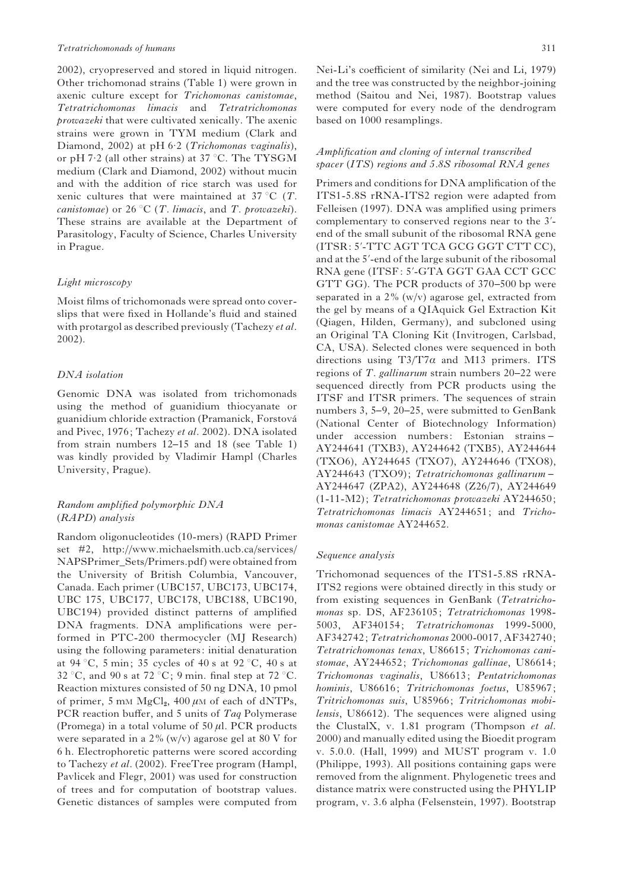#### Tetratrichomonads of humans 311

2002), cryopreserved and stored in liquid nitrogen. Other trichomonad strains (Table 1) were grown in axenic culture except for Trichomonas canistomae, Tetratrichomonas limacis and Tetratrichomonas prowazeki that were cultivated xenically. The axenic strains were grown in TYM medium (Clark and Diamond, 2002) at pH 6.2 (Trichomonas vaginalis), or pH 7.2 (all other strains) at 37 °C. The TYSGM medium (Clark and Diamond, 2002) without mucin and with the addition of rice starch was used for xenic cultures that were maintained at  $37 \degree C$  (T. *canistomae*) or 26 °C (*T. limacis*, and *T. prowazeki*). These strains are available at the Department of Parasitology, Faculty of Science, Charles University in Prague.

#### Light microscopy

Moist films of trichomonads were spread onto coverslips that were fixed in Hollande's fluid and stained with protargol as described previously (Tachezy *et al.* 2002).

# DNA isolation

Genomic DNA was isolated from trichomonads using the method of guanidium thiocyanate or guanidium chloride extraction (Pramanick, Forstova´ and Pivec, 1976; Tachezy et al. 2002). DNA isolated from strain numbers 12–15 and 18 (see Table 1) was kindly provided by Vladimír Hampl (Charles University, Prague).

# Random amplified polymorphic DNA (RAPD) analysis

Random oligonucleotides (10-mers) (RAPD Primer set #2, http://www.michaelsmith.ucb.ca/services/ NAPSPrimer\_Sets/Primers.pdf) were obtained from the University of British Columbia, Vancouver, Canada. Each primer (UBC157, UBC173, UBC174, UBC 175, UBC177, UBC178, UBC188, UBC190, UBC194) provided distinct patterns of amplified DNA fragments. DNA amplifications were performed in PTC-200 thermocycler (MJ Research) using the following parameters: initial denaturation at 94 °C, 5 min; 35 cycles of 40 s at 92 °C, 40 s at 32 °C, and 90 s at 72 °C; 9 min. final step at 72 °C. Reaction mixtures consisted of 50 ng DNA, 10 pmol of primer, 5 mM  $MgCl<sub>2</sub>$ , 400  $\mu$ M of each of dNTPs, PCR reaction buffer, and 5 units of Taq Polymerase (Promega) in a total volume of  $50 \mu$ l. PCR products were separated in a  $2\%$  (w/v) agarose gel at 80 V for 6 h. Electrophoretic patterns were scored according to Tachezy et al. (2002). FreeTree program (Hampl, Pavlicek and Flegr, 2001) was used for construction of trees and for computation of bootstrap values. Genetic distances of samples were computed from

Nei-Li's coefficient of similarity (Nei and Li, 1979) and the tree was constructed by the neighbor-joining method (Saitou and Nei, 1987). Bootstrap values were computed for every node of the dendrogram based on 1000 resamplings.

# Amplification and cloning of internal transcribed spacer (ITS) regions and 5.8S ribosomal RNA genes

Primers and conditions for DNA amplification of the ITS1-5.8S rRNA-ITS2 region were adapted from Felleisen (1997). DNA was amplified using primers complementary to conserved regions near to the  $3'$ end of the small subunit of the ribosomal RNA gene (ITSR: 5'-TTC AGT TCA GCG GGT CTT CC), and at the 5'-end of the large subunit of the ribosomal RNA gene (ITSF: 5'-GTA GGT GAA CCT GCC GTT GG). The PCR products of 370–500 bp were separated in a  $2\%$  (w/v) agarose gel, extracted from the gel by means of a QIAquick Gel Extraction Kit (Qiagen, Hilden, Germany), and subcloned using an Original TA Cloning Kit (Invitrogen, Carlsbad, CA, USA). Selected clones were sequenced in both directions using  $T3/T7\alpha$  and M13 primers. ITS regions of T. gallinarum strain numbers 20–22 were sequenced directly from PCR products using the ITSF and ITSR primers. The sequences of strain numbers 3, 5–9, 20–25, were submitted to GenBank (National Center of Biotechnology Information) under accession numbers: Estonian strains – AY244641 (TXB3), AY244642 (TXB5), AY244644 (TXO6), AY244645 (TXO7), AY244646 (TXO8), AY244643 (TXO9); Tetratrichomonas gallinarum – AY244647 (ZPA2), AY244648 (Z26/7), AY244649 (1-11-M2); Tetratrichomonas prowazeki AY244650; Tetratrichomonas limacis AY244651; and Trichomonas canistomae AY244652.

#### Sequence analysis

Trichomonad sequences of the ITS1-5.8S rRNA-ITS2 regions were obtained directly in this study or from existing sequences in GenBank (Tetratrichomonas sp. DS, AF236105; Tetratrichomonas 1998- 5003, AF340154; Tetratrichomonas 1999-5000, AF342742; Tetratrichomonas 2000-0017, AF342740; Tetratrichomonas tenax, U86615; Trichomonas canistomae, AY244652; Trichomonas gallinae, U86614; Trichomonas vaginalis, U86613; Pentatrichomonas hominis, U86616; Tritrichomonas foetus, U85967; Tritrichomonas suis, U85966; Tritrichomonas mobilensis, U86612). The sequences were aligned using the ClustalX, v. 1.81 program (Thompson et al. 2000) and manually edited using the Bioedit program v. 5.0.0. (Hall, 1999) and MUST program v. 1.0 (Philippe, 1993). All positions containing gaps were removed from the alignment. Phylogenetic trees and distance matrix were constructed using the PHYLIP program, v. 3.6 alpha (Felsenstein, 1997). Bootstrap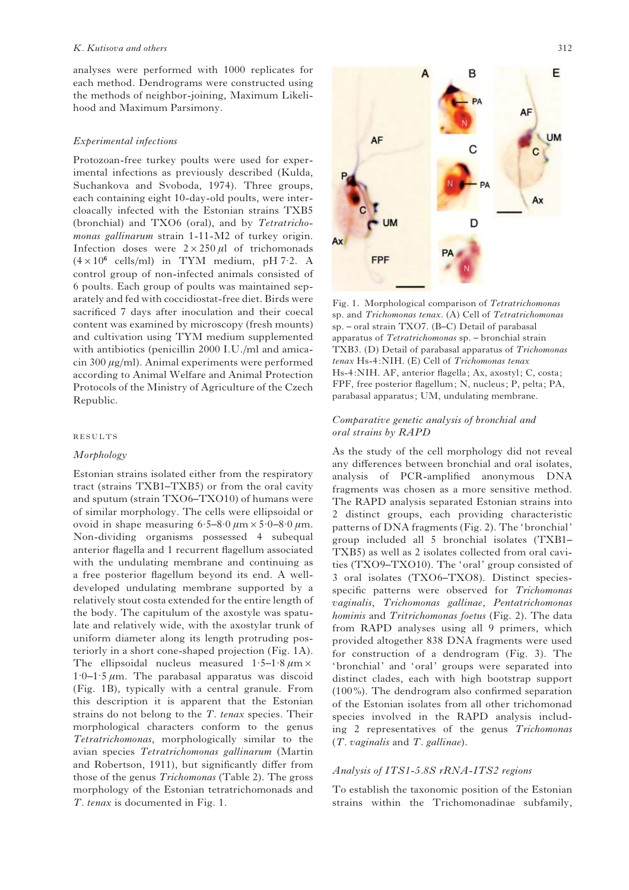analyses were performed with 1000 replicates for each method. Dendrograms were constructed using the methods of neighbor-joining, Maximum Likelihood and Maximum Parsimony.

#### Experimental infections

Protozoan-free turkey poults were used for experimental infections as previously described (Kulda, Suchankova and Svoboda, 1974). Three groups, each containing eight 10-day-old poults, were intercloacally infected with the Estonian strains TXB5 (bronchial) and TXO6 (oral), and by Tetratrichomonas gallinarum strain 1-11-M2 of turkey origin. Infection doses were  $2 \times 250 \,\mu$ l of trichomonads  $(4 \times 10^6 \text{ cells/ml})$  in TYM medium, pH 7.2. A control group of non-infected animals consisted of 6 poults. Each group of poults was maintained separately and fed with coccidiostat-free diet. Birds were sacrificed 7 days after inoculation and their coecal content was examined by microscopy (fresh mounts) and cultivation using TYM medium supplemented with antibiotics (penicillin 2000 I.U./ml and amicacin 300  $\mu$ g/ml). Animal experiments were performed according to Animal Welfare and Animal Protection Protocols of the Ministry of Agriculture of the Czech Republic.

#### RESULTS

## Morphology

Estonian strains isolated either from the respiratory tract (strains TXB1–TXB5) or from the oral cavity and sputum (strain TXO6–TXO10) of humans were of similar morphology. The cells were ellipsoidal or ovoid in shape measuring  $6.5-8.0 \mu m \times 5.0-8.0 \mu m$ . Non-dividing organisms possessed 4 subequal anterior flagella and 1 recurrent flagellum associated with the undulating membrane and continuing as a free posterior flagellum beyond its end. A welldeveloped undulating membrane supported by a relatively stout costa extended for the entire length of the body. The capitulum of the axostyle was spatulate and relatively wide, with the axostylar trunk of uniform diameter along its length protruding posteriorly in a short cone-shaped projection (Fig. 1A). The ellipsoidal nucleus measured  $1.5-1.8 \mu m \times$  $1.0 - 1.5 \mu m$ . The parabasal apparatus was discoid (Fig. 1B), typically with a central granule. From this description it is apparent that the Estonian strains do not belong to the T. tenax species. Their morphological characters conform to the genus Tetratrichomonas, morphologically similar to the avian species Tetratrichomonas gallinarum (Martin and Robertson, 1911), but significantly differ from those of the genus Trichomonas (Table 2). The gross morphology of the Estonian tetratrichomonads and T. tenax is documented in Fig. 1.



Fig. 1. Morphological comparison of Tetratrichomonas sp. and Trichomonas tenax. (A) Cell of Tetratrichomonas sp. – oral strain TXO7. (B–C) Detail of parabasal apparatus of Tetratrichomonas sp. – bronchial strain TXB3. (D) Detail of parabasal apparatus of Trichomonas tenax Hs-4:NIH. (E) Cell of Trichomonas tenax Hs-4:NIH. AF, anterior flagella; Ax, axostyl; C, costa; FPF, free posterior flagellum; N, nucleus; P, pelta; PA, parabasal apparatus; UM, undulating membrane.

## Comparative genetic analysis of bronchial and oral strains by RAPD

As the study of the cell morphology did not reveal any differences between bronchial and oral isolates, analysis of PCR-amplified anonymous DNA fragments was chosen as a more sensitive method. The RAPD analysis separated Estonian strains into 2 distinct groups, each providing characteristic patterns of DNA fragments (Fig. 2). The 'bronchial' group included all 5 bronchial isolates (TXB1– TXB5) as well as 2 isolates collected from oral cavities (TXO9–TXO10). The 'oral' group consisted of 3 oral isolates (TXO6–TXO8). Distinct speciesspecific patterns were observed for Trichomonas vaginalis, Trichomonas gallinae, Pentatrichomonas hominis and Tritrichomonas foetus (Fig. 2). The data from RAPD analyses using all 9 primers, which provided altogether 838 DNA fragments were used for construction of a dendrogram (Fig. 3). The 'bronchial' and 'oral' groups were separated into distinct clades, each with high bootstrap support (100%). The dendrogram also confirmed separation of the Estonian isolates from all other trichomonad species involved in the RAPD analysis including 2 representatives of the genus Trichomonas  $(T. *vaginalis* and T. *gallinae*).$ 

## Analysis of ITS1-5.8S rRNA-ITS2 regions

To establish the taxonomic position of the Estonian strains within the Trichomonadinae subfamily,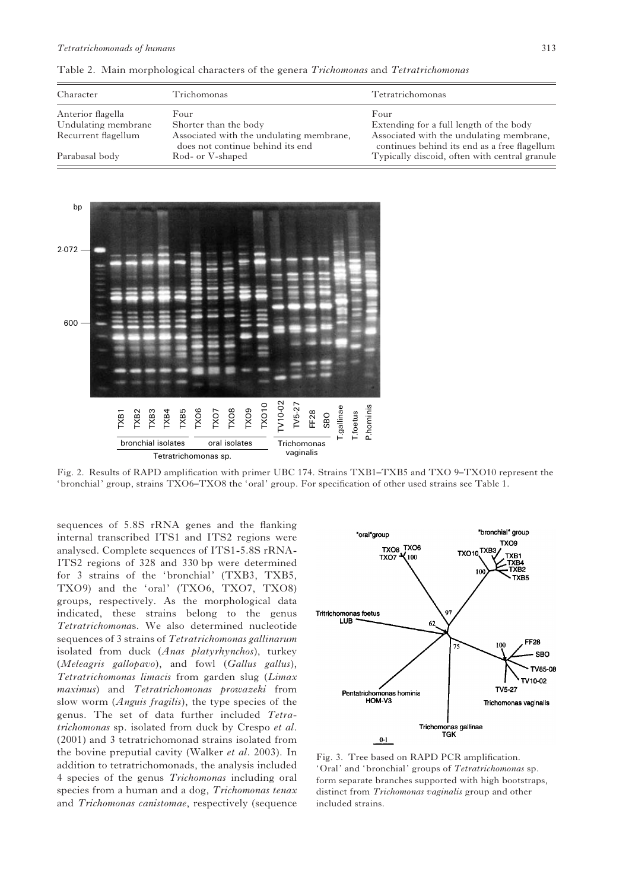| Character           | Trichomonas                                                                  | Tetratrichomonas                                                                         |
|---------------------|------------------------------------------------------------------------------|------------------------------------------------------------------------------------------|
| Anterior flagella   | Four                                                                         | Four                                                                                     |
| Undulating membrane | Shorter than the body                                                        | Extending for a full length of the body                                                  |
| Recurrent flagellum | Associated with the undulating membrane,<br>does not continue behind its end | Associated with the undulating membrane,<br>continues behind its end as a free flagellum |
| Parabasal body      | Rod- or V-shaped                                                             | Typically discoid, often with central granule                                            |

Table 2. Main morphological characters of the genera Trichomonas and Tetratrichomonas



Fig. 2. Results of RAPD amplification with primer UBC 174. Strains TXB1–TXB5 and TXO 9–TXO10 represent the 'bronchial' group, strains TXO6–TXO8 the 'oral' group. For specification of other used strains see Table 1.

sequences of 5.8S rRNA genes and the flanking internal transcribed ITS1 and ITS2 regions were analysed. Complete sequences of ITS1-5.8S rRNA-ITS2 regions of 328 and 330 bp were determined for 3 strains of the 'bronchial' (TXB3, TXB5, TXO9) and the 'oral' (TXO6, TXO7, TXO8) groups, respectively. As the morphological data indicated, these strains belong to the genus Tetratrichomonas. We also determined nucleotide sequences of 3 strains of Tetratrichomonas gallinarum isolated from duck (Anas platyrhynchos), turkey (Meleagris gallopavo), and fowl (Gallus gallus), Tetratrichomonas limacis from garden slug (Limax maximus) and Tetratrichomonas prowazeki from slow worm (Anguis fragilis), the type species of the genus. The set of data further included Tetratrichomonas sp. isolated from duck by Crespo et al. (2001) and 3 tetratrichomonad strains isolated from the bovine preputial cavity (Walker et al. 2003). In addition to tetratrichomonads, the analysis included 4 species of the genus Trichomonas including oral species from a human and a dog, Trichomonas tenax and Trichomonas canistomae, respectively (sequence



Fig. 3. Tree based on RAPD PCR amplification. 'Oral' and 'bronchial' groups of Tetratrichomonas sp. form separate branches supported with high bootstraps, distinct from Trichomonas vaginalis group and other included strains.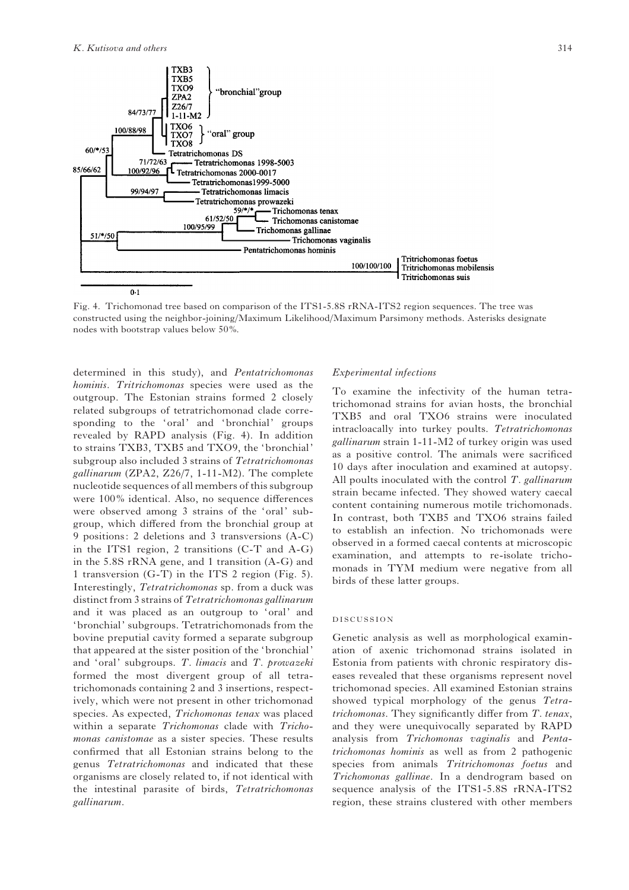

Fig. 4. Trichomonad tree based on comparison of the ITS1-5.8S rRNA-ITS2 region sequences. The tree was constructed using the neighbor-joining/Maximum Likelihood/Maximum Parsimony methods. Asterisks designate nodes with bootstrap values below 50%.

determined in this study), and Pentatrichomonas hominis. Tritrichomonas species were used as the outgroup. The Estonian strains formed 2 closely related subgroups of tetratrichomonad clade corresponding to the 'oral' and 'bronchial' groups revealed by RAPD analysis (Fig. 4). In addition to strains TXB3, TXB5 and TXO9, the 'bronchial' subgroup also included 3 strains of Tetratrichomonas gallinarum (ZPA2, Z26/7, 1-11-M2). The complete nucleotide sequences of all members of this subgroup were 100% identical. Also, no sequence differences were observed among 3 strains of the 'oral' subgroup, which differed from the bronchial group at 9 positions: 2 deletions and 3 transversions (A-C) in the ITS1 region, 2 transitions (C-T and A-G) in the 5.8S rRNA gene, and 1 transition (A-G) and 1 transversion (G-T) in the ITS 2 region (Fig. 5). Interestingly, Tetratrichomonas sp. from a duck was distinct from 3 strains of Tetratrichomonas gallinarum and it was placed as an outgroup to 'oral' and 'bronchial' subgroups. Tetratrichomonads from the bovine preputial cavity formed a separate subgroup that appeared at the sister position of the 'bronchial' and 'oral' subgroups. T. limacis and T. prowazeki formed the most divergent group of all tetratrichomonads containing 2 and 3 insertions, respectively, which were not present in other trichomonad species. As expected, Trichomonas tenax was placed within a separate Trichomonas clade with Trichomonas canistomae as a sister species. These results confirmed that all Estonian strains belong to the genus Tetratrichomonas and indicated that these organisms are closely related to, if not identical with the intestinal parasite of birds, Tetratrichomonas gallinarum.

#### Experimental infections

To examine the infectivity of the human tetratrichomonad strains for avian hosts, the bronchial TXB5 and oral TXO6 strains were inoculated intracloacally into turkey poults. Tetratrichomonas gallinarum strain 1-11-M2 of turkey origin was used as a positive control. The animals were sacrificed 10 days after inoculation and examined at autopsy. All poults inoculated with the control  $T$ . gallinarum strain became infected. They showed watery caecal content containing numerous motile trichomonads. In contrast, both TXB5 and TXO6 strains failed to establish an infection. No trichomonads were observed in a formed caecal contents at microscopic examination, and attempts to re-isolate trichomonads in TYM medium were negative from all birds of these latter groups.

#### DISCUSSION

Genetic analysis as well as morphological examination of axenic trichomonad strains isolated in Estonia from patients with chronic respiratory diseases revealed that these organisms represent novel trichomonad species. All examined Estonian strains showed typical morphology of the genus Tetratrichomonas. They significantly differ from T. tenax, and they were unequivocally separated by RAPD analysis from Trichomonas vaginalis and Pentatrichomonas hominis as well as from 2 pathogenic species from animals Tritrichomonas foetus and Trichomonas gallinae. In a dendrogram based on sequence analysis of the ITS1-5.8S rRNA-ITS2 region, these strains clustered with other members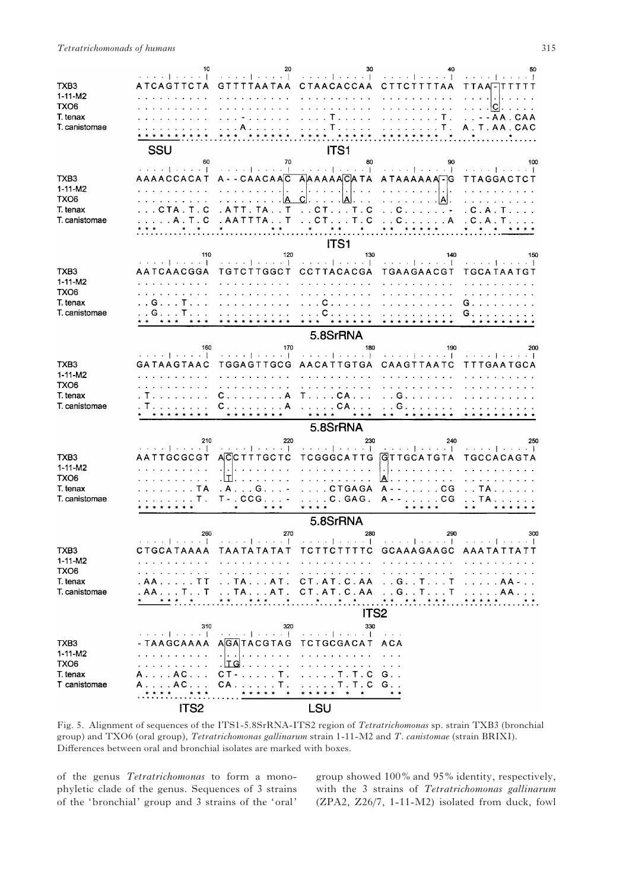|                                   |                        | 20                                                                                                                                                                                                                                                                                                                                                                                                                                     | 30                                                                                    | -40                                                                                                                                                                                                                                                                                                                                                                                                                                                                                                                   | 50                                                                                      |
|-----------------------------------|------------------------|----------------------------------------------------------------------------------------------------------------------------------------------------------------------------------------------------------------------------------------------------------------------------------------------------------------------------------------------------------------------------------------------------------------------------------------|---------------------------------------------------------------------------------------|-----------------------------------------------------------------------------------------------------------------------------------------------------------------------------------------------------------------------------------------------------------------------------------------------------------------------------------------------------------------------------------------------------------------------------------------------------------------------------------------------------------------------|-----------------------------------------------------------------------------------------|
| TXB3                              |                        | ATCAGTTCTA GTTTTAATAA CTAACACCAA CTTCTTTTAA                                                                                                                                                                                                                                                                                                                                                                                            |                                                                                       |                                                                                                                                                                                                                                                                                                                                                                                                                                                                                                                       | <b>TTAAFTTTTTT</b>                                                                      |
| 1-11-M2                           |                        |                                                                                                                                                                                                                                                                                                                                                                                                                                        | .                                                                                     |                                                                                                                                                                                                                                                                                                                                                                                                                                                                                                                       |                                                                                         |
| TXO6                              |                        | $\mathbf{r}$ , $\mathbf{r}$ , $\mathbf{r}$ , $\mathbf{r}$ , $\mathbf{r}$                                                                                                                                                                                                                                                                                                                                                               | .                                                                                     | .                                                                                                                                                                                                                                                                                                                                                                                                                                                                                                                     | . ICI. .                                                                                |
| T. tenax<br>T. canistomae         |                        | 1.1.1.1.1.1<br>. A                                                                                                                                                                                                                                                                                                                                                                                                                     |                                                                                       | . T   T .<br>. T <i>. .</i> T .                                                                                                                                                                                                                                                                                                                                                                                                                                                                                       | . . - - AA . CAA<br>A. T. AA. CAC                                                       |
|                                   |                        |                                                                                                                                                                                                                                                                                                                                                                                                                                        |                                                                                       |                                                                                                                                                                                                                                                                                                                                                                                                                                                                                                                       |                                                                                         |
|                                   | SSU                    |                                                                                                                                                                                                                                                                                                                                                                                                                                        | ITS1                                                                                  |                                                                                                                                                                                                                                                                                                                                                                                                                                                                                                                       |                                                                                         |
|                                   | 60                     | 70                                                                                                                                                                                                                                                                                                                                                                                                                                     | 80                                                                                    | 90                                                                                                                                                                                                                                                                                                                                                                                                                                                                                                                    | 100                                                                                     |
| TXB3                              |                        |                                                                                                                                                                                                                                                                                                                                                                                                                                        |                                                                                       | $\mathcal{L}(\mathcal{L}(\mathcal{L}(\mathcal{L}(\mathcal{L}(\mathcal{L}(\mathcal{L}(\mathcal{L}(\mathcal{L}(\mathcal{L}(\mathcal{L}(\mathcal{L}(\mathcal{L}(\mathcal{L}(\mathcal{L}(\mathcal{L}(\mathcal{L}(\mathcal{L}(\mathcal{L}(\mathcal{L}(\mathcal{L}(\mathcal{L}(\mathcal{L}(\mathcal{L}(\mathcal{L}(\mathcal{L}(\mathcal{L}(\mathcal{L}(\mathcal{L}(\mathcal{L}(\mathcal{L}(\mathcal{L}(\mathcal{L}(\mathcal{L}(\mathcal{L}(\mathcal{L}(\mathcal{$<br>AAAACCACAT A--CAACAAC AAAAAACATA ATAAAAAATG TTAGGACTCT |                                                                                         |
| $1 - 11 - M2$                     |                        |                                                                                                                                                                                                                                                                                                                                                                                                                                        |                                                                                       | $\left[1, 1, 1, 1, 1, 1, 1, 1, 1\right]$                                                                                                                                                                                                                                                                                                                                                                                                                                                                              |                                                                                         |
| TXO6                              | .                      | . <u> A C .  A </u> .                                                                                                                                                                                                                                                                                                                                                                                                                  |                                                                                       | . <b>A</b> .                                                                                                                                                                                                                                                                                                                                                                                                                                                                                                          |                                                                                         |
| T. tenax                          | . C T A . T . C        | . ATT. TA. . T                                                                                                                                                                                                                                                                                                                                                                                                                         | $\ldots$ CT $\ldots$ T $\ldots$ C                                                     | $\ldots$ C $\ldots$ $\ldots$ $\ldots$ $\ldots$                                                                                                                                                                                                                                                                                                                                                                                                                                                                        | . C . A . T                                                                             |
| T. canistomae                     |                        | $\frac{1}{2}$ , $\frac{1}{2}$ , $\frac{1}{2}$ , $\frac{1}{2}$ , $\frac{1}{2}$ , $\frac{1}{2}$ , $\frac{1}{2}$ , $\frac{1}{2}$ , $\frac{1}{2}$ , $\frac{1}{2}$ , $\frac{1}{2}$ , $\frac{1}{2}$ , $\frac{1}{2}$ , $\frac{1}{2}$ , $\frac{1}{2}$ , $\frac{1}{2}$ , $\frac{1}{2}$ , $\frac{1}{2}$ , $\frac{1$                                                                                                                              |                                                                                       | . A . T . C . AA T T TA T CT T . C C A . C . A . T                                                                                                                                                                                                                                                                                                                                                                                                                                                                    |                                                                                         |
|                                   |                        |                                                                                                                                                                                                                                                                                                                                                                                                                                        | ITS1                                                                                  |                                                                                                                                                                                                                                                                                                                                                                                                                                                                                                                       |                                                                                         |
|                                   | 110                    | 120                                                                                                                                                                                                                                                                                                                                                                                                                                    | 130                                                                                   | 140                                                                                                                                                                                                                                                                                                                                                                                                                                                                                                                   | 150                                                                                     |
|                                   |                        |                                                                                                                                                                                                                                                                                                                                                                                                                                        |                                                                                       | [ collect process ] collection [ collection ] collection [ collection] collection ] collection [ collection ] collection [ collection ] [ collection ] [ collection ] [ collection ] [ collection ] [ collection ] [ collectio                                                                                                                                                                                                                                                                                        |                                                                                         |
| TXB3<br>$1 - 11 - M2$             | AATCAACGGA             | TGTCTTGGCT CCTTACACGA TGAAGAACGT                                                                                                                                                                                                                                                                                                                                                                                                       | .                                                                                     | and a straight and a                                                                                                                                                                                                                                                                                                                                                                                                                                                                                                  | TGCATAATGT                                                                              |
| TXO <sub>6</sub>                  | .                      | .                                                                                                                                                                                                                                                                                                                                                                                                                                      | .                                                                                     | $\mathbf{r}$ . The set of the set of the set of the set of the set of the set of the set of the set of the set of the set of the set of the set of the set of the set of the set of the set of the set of the set of the set of t                                                                                                                                                                                                                                                                                     |                                                                                         |
| T. tenax                          | . . G T <i>.</i>       |                                                                                                                                                                                                                                                                                                                                                                                                                                        | . <b>C</b>                                                                            | <u>.</u>                                                                                                                                                                                                                                                                                                                                                                                                                                                                                                              | G <i>.</i>                                                                              |
| T. canistomae                     | . . G T . <i>.</i>     | . <i>. .</i>                                                                                                                                                                                                                                                                                                                                                                                                                           | . C                                                                                   | $\mathbf{r} \cdot \mathbf{r} \cdot \mathbf{r} \cdot \mathbf{r} \cdot \mathbf{r} \cdot \mathbf{r} \cdot \mathbf{r} \cdot \mathbf{r} \cdot \mathbf{r} \cdot \mathbf{r} \cdot \mathbf{r} \cdot \mathbf{r} \cdot \mathbf{r} \cdot \mathbf{r} \cdot \mathbf{r} \cdot \mathbf{r} \cdot \mathbf{r} \cdot \mathbf{r} \cdot \mathbf{r} \cdot \mathbf{r} \cdot \mathbf{r} \cdot \mathbf{r} \cdot \mathbf{r} \cdot \mathbf{r} \cdot \mathbf{r} \cdot \mathbf{r} \cdot \mathbf{r} \cdot \mathbf{$                                 | G.                                                                                      |
|                                   |                        |                                                                                                                                                                                                                                                                                                                                                                                                                                        | 5.8SrRNA                                                                              |                                                                                                                                                                                                                                                                                                                                                                                                                                                                                                                       |                                                                                         |
|                                   | 160                    | 170                                                                                                                                                                                                                                                                                                                                                                                                                                    | 180                                                                                   | 190                                                                                                                                                                                                                                                                                                                                                                                                                                                                                                                   | 200                                                                                     |
|                                   |                        |                                                                                                                                                                                                                                                                                                                                                                                                                                        |                                                                                       |                                                                                                                                                                                                                                                                                                                                                                                                                                                                                                                       |                                                                                         |
| TXB3                              | GATAAGTAAC             | TGGAGTTGCG AACATTGTGA CAAGTTAATC                                                                                                                                                                                                                                                                                                                                                                                                       |                                                                                       |                                                                                                                                                                                                                                                                                                                                                                                                                                                                                                                       | TTTGAATGCA                                                                              |
| $1 - 11 - M2$<br>TXO6             | .                      | .                                                                                                                                                                                                                                                                                                                                                                                                                                      | .                                                                                     |                                                                                                                                                                                                                                                                                                                                                                                                                                                                                                                       | $\mathbf{z}$ , $\mathbf{z}$ , $\mathbf{z}$ , $\mathbf{z}$ , $\mathbf{z}$ , $\mathbf{z}$ |
| T. tenax                          | . T.                   | $C. \ldots. \ldots. A$                                                                                                                                                                                                                                                                                                                                                                                                                 | $T \ldots$ . CA $\ldots$                                                              | . G                                                                                                                                                                                                                                                                                                                                                                                                                                                                                                                   |                                                                                         |
| T. canistomae                     | . T <i>.</i> .         | $C.$ $A$                                                                                                                                                                                                                                                                                                                                                                                                                               | $\ldots$ . CA                                                                         | $\ldots$ G.                                                                                                                                                                                                                                                                                                                                                                                                                                                                                                           |                                                                                         |
|                                   |                        |                                                                                                                                                                                                                                                                                                                                                                                                                                        | * * * *<br>                                                                           |                                                                                                                                                                                                                                                                                                                                                                                                                                                                                                                       |                                                                                         |
|                                   | 210                    | 220                                                                                                                                                                                                                                                                                                                                                                                                                                    | 5.8SrRNA<br>230                                                                       | 240                                                                                                                                                                                                                                                                                                                                                                                                                                                                                                                   |                                                                                         |
|                                   |                        |                                                                                                                                                                                                                                                                                                                                                                                                                                        |                                                                                       | الإستنباع والمتحد المتحدد والمتحدد والمحافظ والمحافظ والمتحدد أأحدده المتحدد                                                                                                                                                                                                                                                                                                                                                                                                                                          | 250                                                                                     |
| TXB3                              | AATTGCGCGT             | ACC TTTGCTC                                                                                                                                                                                                                                                                                                                                                                                                                            |                                                                                       | TCGGGCATTG GTTGCATGTA                                                                                                                                                                                                                                                                                                                                                                                                                                                                                                 | TGCCACAGTA                                                                              |
| $1 - 11 - M2$<br>TXO <sub>6</sub> | and a resource and the | $\mathbf{r}$ . The set of the set of the set of the set of the set of the set of the set of the set of the set of the set of the set of the set of the set of the set of the set of the set of the set of the set of the set of t<br>.                                                                                                                                                                                                 | .<br><u>.</u>                                                                         | $\frac{1}{2}$<br>$ A $ .                                                                                                                                                                                                                                                                                                                                                                                                                                                                                              | .                                                                                       |
| T. tenax                          | . TA                   | $A \ldots G \ldots$                                                                                                                                                                                                                                                                                                                                                                                                                    |                                                                                       | . CTGAGA A - - CG                                                                                                                                                                                                                                                                                                                                                                                                                                                                                                     | . . TA                                                                                  |
| T. canistomae                     |                        | $\ldots$ $\mathsf{T}$ . T - . CCG                                                                                                                                                                                                                                                                                                                                                                                                      |                                                                                       | C. GAG. A--CG TA                                                                                                                                                                                                                                                                                                                                                                                                                                                                                                      |                                                                                         |
|                                   |                        | $\star$ . The $\sim$<br>$\mathbf{A}=\mathbf{A}$                                                                                                                                                                                                                                                                                                                                                                                        |                                                                                       | * * * * *                                                                                                                                                                                                                                                                                                                                                                                                                                                                                                             |                                                                                         |
|                                   |                        |                                                                                                                                                                                                                                                                                                                                                                                                                                        | 5.8SrRNA                                                                              |                                                                                                                                                                                                                                                                                                                                                                                                                                                                                                                       |                                                                                         |
|                                   | 260                    | 270<br>$+ - 1 + + - + 1$                                                                                                                                                                                                                                                                                                                                                                                                               | 280<br>.                                                                              | 290<br>. . <b>. .</b> .                                                                                                                                                                                                                                                                                                                                                                                                                                                                                               | 300                                                                                     |
| TXB3                              |                        |                                                                                                                                                                                                                                                                                                                                                                                                                                        |                                                                                       | CTGCATAAAA TAATATATAT TCTTCTTTTC GCAAAGAAGC AAATATTATT                                                                                                                                                                                                                                                                                                                                                                                                                                                                |                                                                                         |
| 1-11-M2                           | .                      | $\mathbf{r} = \mathbf{r} + \mathbf{r} + \mathbf{r} + \mathbf{r} + \mathbf{r} + \mathbf{r} + \mathbf{r} + \mathbf{r} + \mathbf{r} + \mathbf{r} + \mathbf{r} + \mathbf{r} + \mathbf{r} + \mathbf{r} + \mathbf{r} + \mathbf{r} + \mathbf{r} + \mathbf{r} + \mathbf{r} + \mathbf{r} + \mathbf{r} + \mathbf{r} + \mathbf{r} + \mathbf{r} + \mathbf{r} + \mathbf{r} + \mathbf{r} + \mathbf{r} + \mathbf{r} + \mathbf{r} + \mathbf$<br>$\sim$ |                                                                                       |                                                                                                                                                                                                                                                                                                                                                                                                                                                                                                                       |                                                                                         |
| TXO6<br>T. tenax                  | .                      | .<br>. AA. TT TA. AT. CT. AT. C. AA G. . T. T                                                                                                                                                                                                                                                                                                                                                                                          | $\begin{array}{cccccccccccccc} . & . & . & . & . & . & . & . & . & . & . \end{array}$ | .                                                                                                                                                                                                                                                                                                                                                                                                                                                                                                                     | .<br>. <b>AA</b> -                                                                      |
| T. canistomae                     |                        |                                                                                                                                                                                                                                                                                                                                                                                                                                        |                                                                                       | . AA T T TA AT . CT . AT . C . AA G T T                                                                                                                                                                                                                                                                                                                                                                                                                                                                               | . <b>AA .</b>                                                                           |
|                                   |                        |                                                                                                                                                                                                                                                                                                                                                                                                                                        |                                                                                       | * * * * * * * * * * *                                                                                                                                                                                                                                                                                                                                                                                                                                                                                                 |                                                                                         |
|                                   |                        |                                                                                                                                                                                                                                                                                                                                                                                                                                        | ITS <sub>2</sub>                                                                      |                                                                                                                                                                                                                                                                                                                                                                                                                                                                                                                       |                                                                                         |
|                                   | 310                    | 320<br>. <b>           </b> .                                                                                                                                                                                                                                                                                                                                                                                                          | 330                                                                                   | $\sim$ $\sim$ $\sim$ $\sim$                                                                                                                                                                                                                                                                                                                                                                                                                                                                                           |                                                                                         |
| TXB3                              |                        | - TAAGCAAAA AGATACGTAG TCTGCGACAT ACA                                                                                                                                                                                                                                                                                                                                                                                                  |                                                                                       |                                                                                                                                                                                                                                                                                                                                                                                                                                                                                                                       |                                                                                         |
| $1 - 11 - M2$                     | .                      | .                                                                                                                                                                                                                                                                                                                                                                                                                                      | and a straight and a straight                                                         |                                                                                                                                                                                                                                                                                                                                                                                                                                                                                                                       |                                                                                         |
| TXO6                              | .                      | $\lfloor \text{IG} \rfloor$                                                                                                                                                                                                                                                                                                                                                                                                            | $\begin{array}{cccccccccccccc} . & . & . & . & . & . & . & . & . & . \end{array}$     |                                                                                                                                                                                                                                                                                                                                                                                                                                                                                                                       |                                                                                         |
| T. tenax<br>T canistomae          | A. AC.<br>A A C        | $CT -   T$ .<br>$CA$ $T$ .                                                                                                                                                                                                                                                                                                                                                                                                             | $\ldots$ . T . T . C<br>$\ldots$ . T. T. C $G$                                        | G.                                                                                                                                                                                                                                                                                                                                                                                                                                                                                                                    |                                                                                         |
|                                   |                        | * * * * *<br>$\overline{\phantom{a}}$                                                                                                                                                                                                                                                                                                                                                                                                  | * * * * *<br>$\star$                                                                  |                                                                                                                                                                                                                                                                                                                                                                                                                                                                                                                       |                                                                                         |
|                                   | ITS <sub>2</sub>       |                                                                                                                                                                                                                                                                                                                                                                                                                                        | <b>LSU</b>                                                                            |                                                                                                                                                                                                                                                                                                                                                                                                                                                                                                                       |                                                                                         |

Fig. 5. Alignment of sequences of the ITS1-5.8SrRNA-ITS2 region of Tetratrichomonas sp. strain TXB3 (bronchial group) and TXO6 (oral group), Tetratrichomonas gallinarum strain 1-11-M2 and T. canistomae (strain BRIXI). Differences between oral and bronchial isolates are marked with boxes.

of the genus Tetratrichomonas to form a monophyletic clade of the genus. Sequences of 3 strains of the 'bronchial' group and 3 strains of the 'oral'

group showed 100% and 95% identity, respectively, with the 3 strains of Tetratrichomonas gallinarum (ZPA2, Z26/7, 1-11-M2) isolated from duck, fowl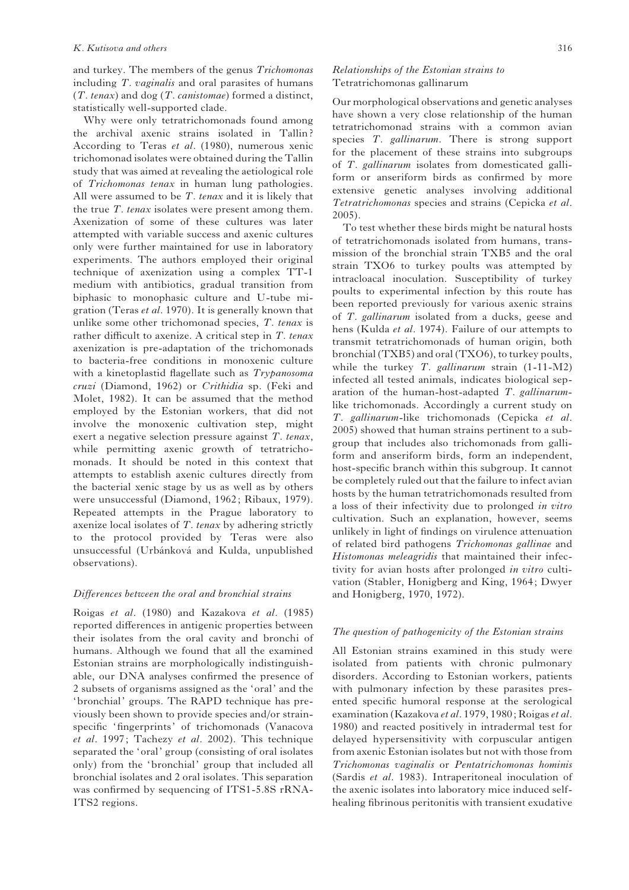and turkey. The members of the genus Trichomonas including T. vaginalis and oral parasites of humans  $(T. tenax)$  and dog  $(T. canistomae)$  formed a distinct, statistically well-supported clade.

Why were only tetratrichomonads found among the archival axenic strains isolated in Tallin ? According to Teras et al. (1980), numerous xenic trichomonad isolates were obtained during the Tallin study that was aimed at revealing the aetiological role of Trichomonas tenax in human lung pathologies. All were assumed to be  $T$ . tenax and it is likely that the true T. tenax isolates were present among them. Axenization of some of these cultures was later attempted with variable success and axenic cultures only were further maintained for use in laboratory experiments. The authors employed their original technique of axenization using a complex TT-1 medium with antibiotics, gradual transition from biphasic to monophasic culture and U-tube migration (Teras et al. 1970). It is generally known that unlike some other trichomonad species, T. tenax is rather difficult to axenize. A critical step in T. tenax axenization is pre-adaptation of the trichomonads to bacteria-free conditions in monoxenic culture with a kinetoplastid flagellate such as Trypanosoma cruzi (Diamond, 1962) or Crithidia sp. (Feki and Molet, 1982). It can be assumed that the method employed by the Estonian workers, that did not involve the monoxenic cultivation step, might exert a negative selection pressure against T. tenax, while permitting axenic growth of tetratrichomonads. It should be noted in this context that attempts to establish axenic cultures directly from the bacterial xenic stage by us as well as by others were unsuccessful (Diamond, 1962; Ribaux, 1979). Repeated attempts in the Prague laboratory to axenize local isolates of T. tenax by adhering strictly to the protocol provided by Teras were also unsuccessful (Urbánková and Kulda, unpublished observations).

#### Differences between the oral and bronchial strains

Roigas et al. (1980) and Kazakova et al. (1985) reported differences in antigenic properties between their isolates from the oral cavity and bronchi of humans. Although we found that all the examined Estonian strains are morphologically indistinguishable, our DNA analyses confirmed the presence of 2 subsets of organisms assigned as the 'oral' and the 'bronchial' groups. The RAPD technique has previously been shown to provide species and/or strainspecific 'fingerprints' of trichomonads (Vanacova et al. 1997; Tachezy et al. 2002). This technique separated the 'oral' group (consisting of oral isolates only) from the 'bronchial' group that included all bronchial isolates and 2 oral isolates. This separation was confirmed by sequencing of ITS1-5.8S rRNA-ITS2 regions.

# Relationships of the Estonian strains to Tetratrichomonas gallinarum

Our morphological observations and genetic analyses have shown a very close relationship of the human tetratrichomonad strains with a common avian species T. gallinarum. There is strong support for the placement of these strains into subgroups of T. gallinarum isolates from domesticated galliform or anseriform birds as confirmed by more extensive genetic analyses involving additional Tetratrichomonas species and strains (Cepicka et al. 2005).

To test whether these birds might be natural hosts of tetratrichomonads isolated from humans, transmission of the bronchial strain TXB5 and the oral strain TXO6 to turkey poults was attempted by intracloacal inoculation. Susceptibility of turkey poults to experimental infection by this route has been reported previously for various axenic strains of T. gallinarum isolated from a ducks, geese and hens (Kulda et al. 1974). Failure of our attempts to transmit tetratrichomonads of human origin, both bronchial (TXB5) and oral (TXO6), to turkey poults, while the turkey  $T$ . gallinarum strain  $(1-11-M2)$ infected all tested animals, indicates biological separation of the human-host-adapted T. gallinarumlike trichomonads. Accordingly a current study on T. gallinarum-like trichomonads (Cepicka et al. 2005) showed that human strains pertinent to a subgroup that includes also trichomonads from galliform and anseriform birds, form an independent, host-specific branch within this subgroup. It cannot be completely ruled out that the failure to infect avian hosts by the human tetratrichomonads resulted from a loss of their infectivity due to prolonged in vitro cultivation. Such an explanation, however, seems unlikely in light of findings on virulence attenuation of related bird pathogens Trichomonas gallinae and Histomonas meleagridis that maintained their infectivity for avian hosts after prolonged in vitro cultivation (Stabler, Honigberg and King, 1964; Dwyer and Honigberg, 1970, 1972).

## The question of pathogenicity of the Estonian strains

All Estonian strains examined in this study were isolated from patients with chronic pulmonary disorders. According to Estonian workers, patients with pulmonary infection by these parasites presented specific humoral response at the serological examination (Kazakova et al. 1979, 1980; Roigas et al. 1980) and reacted positively in intradermal test for delayed hypersensitivity with corpuscular antigen from axenic Estonian isolates but not with those from Trichomonas vaginalis or Pentatrichomonas hominis (Sardis et al. 1983). Intraperitoneal inoculation of the axenic isolates into laboratory mice induced selfhealing fibrinous peritonitis with transient exudative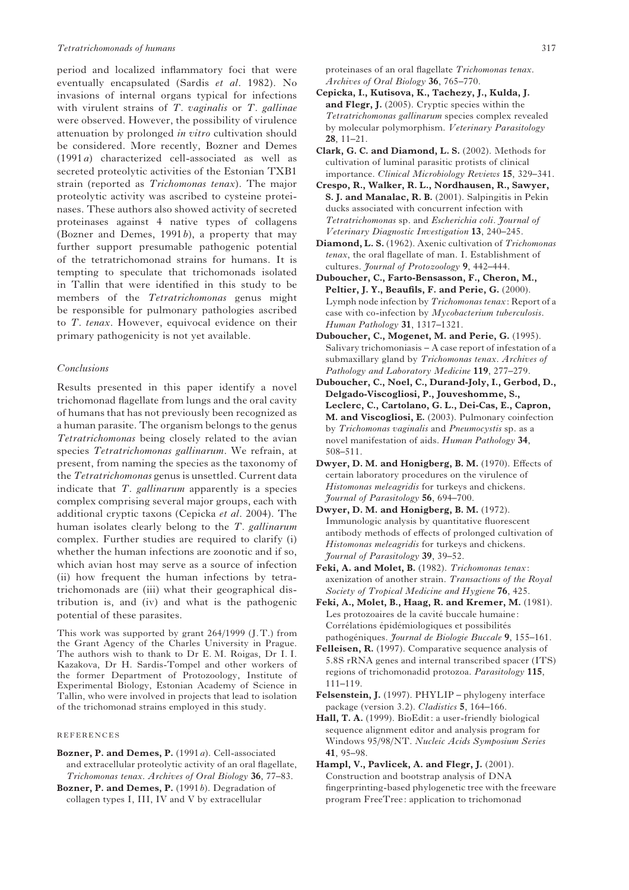period and localized inflammatory foci that were eventually encapsulated (Sardis et al. 1982). No invasions of internal organs typical for infections with virulent strains of  $T.$  vaginalis or  $T.$  gallinae were observed. However, the possibility of virulence attenuation by prolonged in vitro cultivation should be considered. More recently, Bozner and Demes (1991a) characterized cell-associated as well as secreted proteolytic activities of the Estonian TXB1 strain (reported as Trichomonas tenax). The major proteolytic activity was ascribed to cysteine proteinases. These authors also showed activity of secreted proteinases against 4 native types of collagens (Bozner and Demes,  $1991b$ ), a property that may further support presumable pathogenic potential of the tetratrichomonad strains for humans. It is tempting to speculate that trichomonads isolated in Tallin that were identified in this study to be members of the Tetratrichomonas genus might be responsible for pulmonary pathologies ascribed to T. tenax. However, equivocal evidence on their primary pathogenicity is not yet available.

## Conclusions

Results presented in this paper identify a novel trichomonad flagellate from lungs and the oral cavity of humans that has not previously been recognized as a human parasite. The organism belongs to the genus Tetratrichomonas being closely related to the avian species Tetratrichomonas gallinarum. We refrain, at present, from naming the species as the taxonomy of the Tetratrichomonas genus is unsettled. Current data indicate that  $T$ . *gallinarum* apparently is a species complex comprising several major groups, each with additional cryptic taxons (Cepicka et al. 2004). The human isolates clearly belong to the  $T$ . gallinarum complex. Further studies are required to clarify (i) whether the human infections are zoonotic and if so, which avian host may serve as a source of infection (ii) how frequent the human infections by tetratrichomonads are (iii) what their geographical distribution is, and (iv) and what is the pathogenic potential of these parasites.

This work was supported by grant 264/1999 (J.T.) from the Grant Agency of the Charles University in Prague. The authors wish to thank to Dr E. M. Roigas, Dr I. I. Kazakova, Dr H. Sardis-Tompel and other workers of the former Department of Protozoology, Institute of Experimental Biology, Estonian Academy of Science in Tallin, who were involved in projects that lead to isolation of the trichomonad strains employed in this study.

#### REFERENCES

Bozner, P. and Demes, P. (1991a). Cell-associated and extracellular proteolytic activity of an oral flagellate, Trichomonas tenax. Archives of Oral Biology 36, 77–83.

Bozner, P. and Demes, P.  $(1991b)$ . Degradation of collagen types I, III, IV and V by extracellular

proteinases of an oral flagellate Trichomonas tenax. Archives of Oral Biology 36, 765–770.

- Cepicka, I., Kutisova, K., Tachezy, J., Kulda, J. and Flegr, J. (2005). Cryptic species within the Tetratrichomonas gallinarum species complex revealed by molecular polymorphism. Veterinary Parasitology 28, 11–21.
- Clark, G. C. and Diamond, L. S. (2002). Methods for cultivation of luminal parasitic protists of clinical importance. Clinical Microbiology Reviews 15, 329–341.
- Crespo, R., Walker, R. L., Nordhausen, R., Sawyer, S. J. and Manalac, R. B. (2001). Salpingitis in Pekin ducks associated with concurrent infection with Tetratrichomonas sp. and Escherichia coli. Journal of Veterinary Diagnostic Investigation 13, 240–245.
- Diamond, L. S. (1962). Axenic cultivation of Trichomonas tenax, the oral flagellate of man. I. Establishment of cultures. Journal of Protozoology 9, 442-444.
- Duboucher, C., Farto-Bensasson, F., Cheron, M., Peltier, J. Y., Beaufils, F. and Perie, G. (2000). Lymph node infection by Trichomonas tenax: Report of a case with co-infection by Mycobacterium tuberculosis. Human Pathology 31, 1317–1321.
- Duboucher, C., Mogenet, M. and Perie, G. (1995). Salivary trichomoniasis – A case report of infestation of a submaxillary gland by Trichomonas tenax. Archives of Pathology and Laboratory Medicine 119, 277–279.
- Duboucher, C., Noel, C., Durand-Joly, I., Gerbod, D., Delgado-Viscogliosi, P., Jouveshomme, S., Leclerc, C., Cartolano, G. L., Dei-Cas, E., Capron, M. and Viscogliosi, E. (2003). Pulmonary coinfection by Trichomonas vaginalis and Pneumocystis sp. as a novel manifestation of aids. Human Pathology 34, 508–511.
- Dwyer, D. M. and Honigberg, B. M. (1970). Effects of certain laboratory procedures on the virulence of Histomonas meleagridis for turkeys and chickens. Journal of Parasitology 56, 694–700.
- Dwyer, D. M. and Honigberg, B. M. (1972). Immunologic analysis by quantitative fluorescent antibody methods of effects of prolonged cultivation of Histomonas meleagridis for turkeys and chickens. Journal of Parasitology 39, 39–52.
- Feki, A. and Molet, B. (1982). Trichomonas tenax: axenization of another strain. Transactions of the Royal Society of Tropical Medicine and Hygiene 76, 425.
- Feki, A., Molet, B., Haag, R. and Kremer, M. (1981). Les protozoaires de la cavité buccale humaine: Corrélations épidémiologiques et possibilités pathogéniques. Journal de Biologie Buccale 9, 155–161.
- Felleisen, R. (1997). Comparative sequence analysis of 5.8S rRNA genes and internal transcribed spacer (ITS) regions of trichomonadid protozoa. Parasitology 115, 111–119.
- Felsenstein, J. (1997). PHYLIP phylogeny interface package (version 3.2). Cladistics 5, 164–166.
- Hall, T. A. (1999). BioEdit: a user-friendly biological sequence alignment editor and analysis program for Windows 95/98/NT. Nucleic Acids Symposium Series 41, 95–98.
- Hampl, V., Pavlicek, A. and Flegr, J. (2001). Construction and bootstrap analysis of DNA fingerprinting-based phylogenetic tree with the freeware program FreeTree: application to trichomonad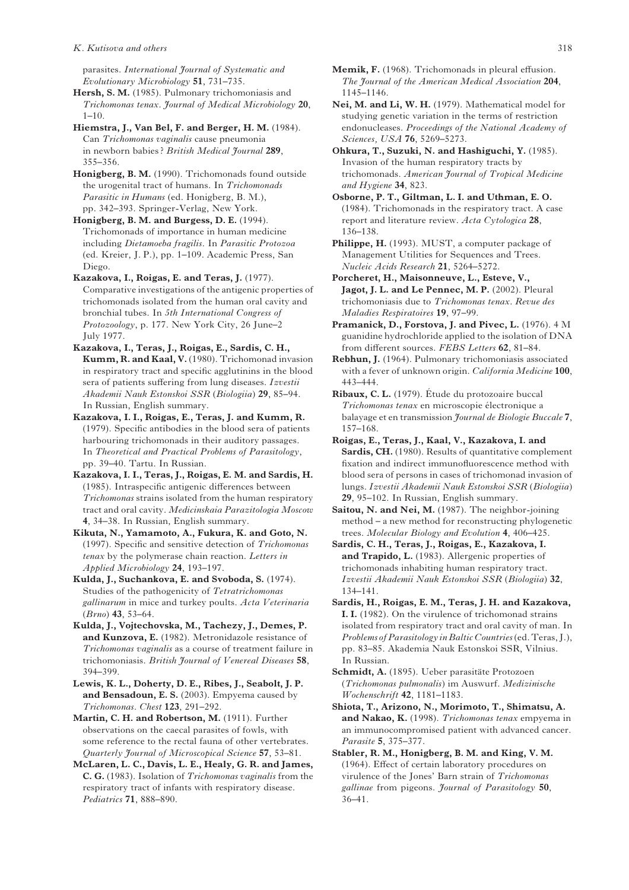parasites. International Journal of Systematic and Evolutionary Microbiology 51, 731–735.

Hersh, S. M. (1985). Pulmonary trichomoniasis and Trichomonas tenax. Journal of Medical Microbiology 20,  $1 - 10$ 

Hiemstra, J., Van Bel, F. and Berger, H. M. (1984). Can Trichomonas vaginalis cause pneumonia in newborn babies ? British Medical Journal 289, 355–356.

Honigberg, B. M. (1990). Trichomonads found outside the urogenital tract of humans. In Trichomonads Parasitic in Humans (ed. Honigberg, B. M.), pp. 342–393. Springer-Verlag, New York.

Honigberg, B. M. and Burgess, D. E. (1994). Trichomonads of importance in human medicine including Dietamoeba fragilis. In Parasitic Protozoa (ed. Kreier, J. P.), pp. 1–109. Academic Press, San Diego.

Kazakova, I., Roigas, E. and Teras, J. (1977). Comparative investigations of the antigenic properties of trichomonads isolated from the human oral cavity and bronchial tubes. In 5th International Congress of Protozoology, p. 177. New York City, 26 June–2 July 1977.

Kazakova, I., Teras, J., Roigas, E., Sardis, C. H., Kumm, R. and Kaal, V. (1980). Trichomonad invasion in respiratory tract and specific agglutinins in the blood sera of patients suffering from lung diseases. Izvestii Akademii Nauk Estonskoi SSR (Biologiia) 29, 85–94. In Russian, English summary.

Kazakova, I. I., Roigas, E., Teras, J. and Kumm, R. (1979). Specific antibodies in the blood sera of patients harbouring trichomonads in their auditory passages. In Theoretical and Practical Problems of Parasitology, pp. 39–40. Tartu. In Russian.

Kazakova, I. I., Teras, J., Roigas, E. M. and Sardis, H. (1985). Intraspecific antigenic differences between Trichomonas strains isolated from the human respiratory tract and oral cavity. Medicinskaia Parazitologia Moscow 4, 34–38. In Russian, English summary.

Kikuta, N., Yamamoto, A., Fukura, K. and Goto, N. (1997). Specific and sensitive detection of Trichomonas tenax by the polymerase chain reaction. Letters in Applied Microbiology 24, 193–197.

Kulda, J., Suchankova, E. and Svoboda, S. (1974). Studies of the pathogenicity of Tetratrichomonas gallinarum in mice and turkey poults. Acta Veterinaria (Brno) 43, 53–64.

Kulda, J., Vojtechovska, M., Tachezy, J., Demes, P. and Kunzova, E. (1982). Metronidazole resistance of Trichomonas vaginalis as a course of treatment failure in trichomoniasis. British Journal of Venereal Diseases 58, 394–399.

Lewis, K. L., Doherty, D. E., Ribes, J., Seabolt, J. P. and Bensadoun, E. S. (2003). Empyema caused by Trichomonas. Chest 123, 291–292.

Martin, C. H. and Robertson, M. (1911). Further observations on the caecal parasites of fowls, with some reference to the rectal fauna of other vertebrates. Quarterly Journal of Microscopical Science 57, 53–81.

McLaren, L. C., Davis, L. E., Healy, G. R. and James, C. G. (1983). Isolation of Trichomonas vaginalis from the respiratory tract of infants with respiratory disease. Pediatrics 71, 888–890.

Nei, M. and Li, W. H. (1979). Mathematical model for studying genetic variation in the terms of restriction endonucleases. Proceedings of the National Academy of Sciences, USA 76, 5269–5273.

Ohkura, T., Suzuki, N. and Hashiguchi, Y. (1985). Invasion of the human respiratory tracts by trichomonads. American Journal of Tropical Medicine and Hygiene 34, 823.

Osborne, P. T., Giltman, L. I. and Uthman, E. O. (1984). Trichomonads in the respiratory tract. A case report and literature review. Acta Cytologica 28, 136–138.

Philippe, H. (1993). MUST, a computer package of Management Utilities for Sequences and Trees. Nucleic Acids Research 21, 5264–5272.

Porcheret, H., Maisonneuve, L., Esteve, V., Jagot, J. L. and Le Pennec, M. P. (2002). Pleural trichomoniasis due to Trichomonas tenax. Revue des Maladies Respiratoires 19, 97–99.

Pramanick, D., Forstova, J. and Pivec, L. (1976). 4 M guanidine hydrochloride applied to the isolation of DNA from different sources. FEBS Letters 62, 81–84.

Rebhun, J. (1964). Pulmonary trichomoniasis associated with a fever of unknown origin. California Medicine 100, 443–444.

Ribaux, C. L. (1979). Étude du protozoaire buccal Trichomonas tenax en microscopie électronique a balayage et en transmission Journal de Biologie Buccale 7, 157–168.

Roigas, E., Teras, J., Kaal, V., Kazakova, I. and Sardis, CH. (1980). Results of quantitative complement fixation and indirect immunofluorescence method with blood sera of persons in cases of trichomonad invasion of lungs. Izvestii Akademii Nauk Estonskoi SSR (Biologiia) 29, 95–102. In Russian, English summary.

Saitou, N. and Nei, M. (1987). The neighbor-joining method – a new method for reconstructing phylogenetic trees. Molecular Biology and Evolution 4, 406–425.

Sardis, C. H., Teras, J., Roigas, E., Kazakova, I. and Trapido, L. (1983). Allergenic properties of trichomonads inhabiting human respiratory tract. Izvestii Akademii Nauk Estonskoi SSR (Biologiia) 32, 134–141.

Sardis, H., Roigas, E. M., Teras, J. H. and Kazakova, I. I. (1982). On the virulence of trichomonad strains isolated from respiratory tract and oral cavity of man. In Problems of Parasitology in Baltic Countries (ed. Teras, J.), pp. 83–85. Akademia Nauk Estonskoi SSR, Vilnius. In Russian.

Schmidt, A. (1895). Ueber parasitäte Protozoen (Trichomonas pulmonalis) im Auswurf. Medizinische Wochenschrift 42, 1181–1183.

Shiota, T., Arizono, N., Morimoto, T., Shimatsu, A. and Nakao, K. (1998). Trichomonas tenax empyema in an immunocompromised patient with advanced cancer. Parasite 5, 375–377.

Stabler, R. M., Honigberg, B. M. and King, V. M. (1964). Effect of certain laboratory procedures on virulence of the Jones' Barn strain of Trichomonas gallinae from pigeons. Journal of Parasitology 50, 36–41.